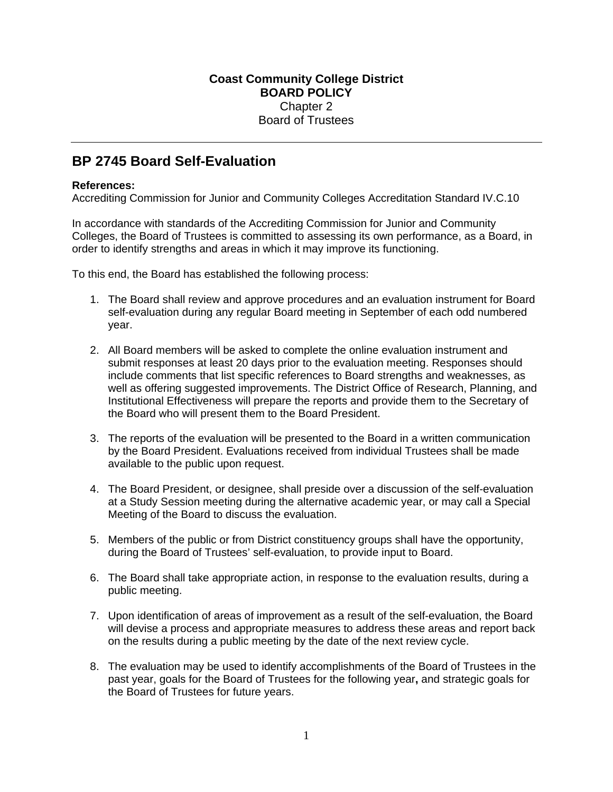## **BP 2745 Board Self-Evaluation**

## **References:**

Accrediting Commission for Junior and Community Colleges Accreditation Standard IV.C.10

In accordance with standards of the Accrediting Commission for Junior and Community Colleges, the Board of Trustees is committed to assessing its own performance, as a Board, in order to identify strengths and areas in which it may improve its functioning.

To this end, the Board has established the following process:

- 1. The Board shall review and approve procedures and an evaluation instrument for Board self-evaluation during any regular Board meeting in September of each odd numbered year.
- 2. All Board members will be asked to complete the online evaluation instrument and submit responses at least 20 days prior to the evaluation meeting. Responses should include comments that list specific references to Board strengths and weaknesses, as well as offering suggested improvements. The District Office of Research, Planning, and Institutional Effectiveness will prepare the reports and provide them to the Secretary of the Board who will present them to the Board President.
- 3. The reports of the evaluation will be presented to the Board in a written communication by the Board President. Evaluations received from individual Trustees shall be made available to the public upon request.
- 4. The Board President, or designee, shall preside over a discussion of the self-evaluation at a Study Session meeting during the alternative academic year, or may call a Special Meeting of the Board to discuss the evaluation.
- 5. Members of the public or from District constituency groups shall have the opportunity, during the Board of Trustees' self-evaluation, to provide input to Board.
- 6. The Board shall take appropriate action, in response to the evaluation results, during a public meeting.
- 7. Upon identification of areas of improvement as a result of the self-evaluation, the Board will devise a process and appropriate measures to address these areas and report back on the results during a public meeting by the date of the next review cycle.
- 8. The evaluation may be used to identify accomplishments of the Board of Trustees in the past year, goals for the Board of Trustees for the following year**,** and strategic goals for the Board of Trustees for future years.